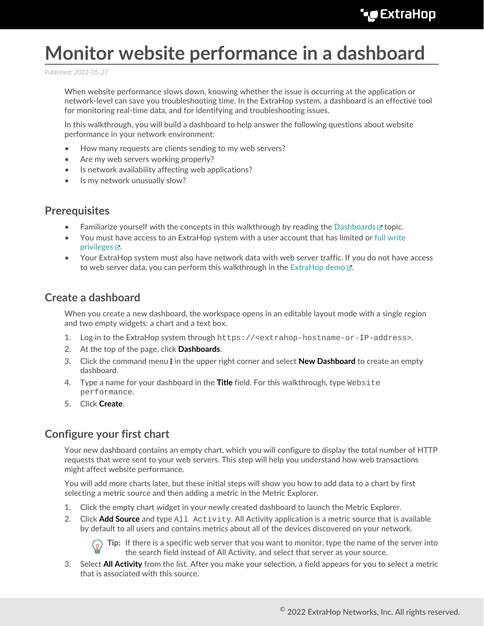# **Monitor website performance in a dashboard**

Published: 2022-05-27

When website performance slows down, knowing whether the issue is occurring at the application or network-level can save you troubleshooting time. In the ExtraHop system, a dashboard is an effective tool for monitoring real-time data, and for identifying and troubleshooting issues.

In this walkthrough, you will build a dashboard to help answer the following questions about website performance in your network environment:

- How many requests are clients sending to my web servers?
- Are my web servers working properly?
- Is network availability affecting web applications?
- Is my network unusually slow?

# **Prerequisites**

- Familiarize yourself with the concepts in this walkthrough by reading the [Dashboards](https://docs.extrahop.com/8.9/dashboards)  $\mathbb E$  topic.
- You must have access to an ExtraHop system with a user account that has limited or [full write](https://docs.extrahop.com/8.9/users-overview/#user-privileges) privileges  $\mathbb{Z}$ .
- Your ExtraHop system must also have network data with web server traffic. If you do not have access to web server data, you can perform this walkthrough in the [ExtraHop demo](http://demo.extrahop.com)  $\mathbb{E}$ .

## **Create a dashboard**

When you create a new dashboard, the workspace opens in an editable layout mode with a single region and two empty widgets: a chart and a text box.

- 1. Log in to the ExtraHop system through https://<extrahop-hostname-or-IP-address>.
- 2. At the top of the page, click **Dashboards**.
- 3. Click the command menu **i** in the upper right corner and select **New Dashboard** to create an empty dashboard.
- 4. Type a name for your dashboard in the **Title** field. For this walkthrough, type Website performance.
- 5. Click **Create**.

# <span id="page-0-0"></span>**Configure your first chart**

Your new dashboard contains an empty chart, which you will configure to display the total number of HTTP requests that were sent to your web servers. This step will help you understand how web transactions might affect website performance.

You will add more charts later, but these initial steps will show you how to add data to a chart by first selecting a metric source and then adding a metric in the Metric Explorer.

- 1. Click the empty chart widget in your newly created dashboard to launch the Metric Explorer.
- 2. Click **Add Source** and type All Activity. All Activity application is a metric source that is available by default to all users and contains metrics about all of the devices discovered on your network.



**Tip:** If there is a specific web server that you want to monitor, type the name of the server into the search field instead of All Activity, and select that server as your source.

3. Select **All Activity** from the list. After you make your selection, a field appears for you to select a metric that is associated with this source.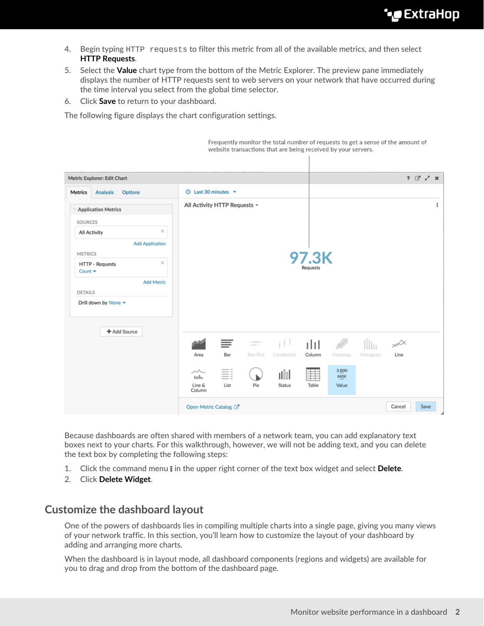- 4. Begin typing HTTP requests to filter this metric from all of the available metrics, and then select **HTTP Requests**.
- 5. Select the **Value** chart type from the bottom of the Metric Explorer. The preview pane immediately displays the number of HTTP requests sent to web servers on your network that have occurred during the time interval you select from the global time selector.
- 6. Click **Save** to return to your dashboard.

The following figure displays the chart configuration settings.

Frequently monitor the total number of requests to get a sense of the amount of website transactions that are being received by your servers.

| Metric Explorer: Edit Chart                                         |                                     |            |                           |                |          |                        | $? 5' \times X$ |         |      |
|---------------------------------------------------------------------|-------------------------------------|------------|---------------------------|----------------|----------|------------------------|-----------------|---------|------|
| <b>Analysis</b><br><b>Options</b><br>Metrics                        | $\odot$ Last 30 minutes $\star$     |            |                           |                |          |                        |                 |         |      |
| <b>Application Metrics</b>                                          | All Activity HTTP Requests -        |            |                           |                |          |                        | ÷               |         |      |
| <b>SOURCES</b>                                                      |                                     |            |                           |                |          |                        |                 |         |      |
| $\mathcal{H}$<br>All Activity                                       |                                     |            |                           |                |          |                        |                 |         |      |
| <b>Add Application</b>                                              |                                     |            |                           |                |          |                        |                 |         |      |
| <b>METRICS</b>                                                      |                                     |            |                           |                | 97.3K    |                        |                 |         |      |
| $\mathcal{Y}_n^*$<br>HTTP - Requests<br>Count $\blacktriangleright$ |                                     |            |                           |                | Requests |                        |                 |         |      |
| <b>Add Metric</b>                                                   |                                     |            |                           |                |          |                        |                 |         |      |
| <b>DETAILS</b>                                                      |                                     |            |                           |                |          |                        |                 |         |      |
| Drill down by None =                                                |                                     |            |                           |                |          |                        |                 |         |      |
|                                                                     |                                     |            |                           |                |          |                        |                 |         |      |
| + Add Source                                                        |                                     | ≣          | $\frac{1}{1-\alpha\beta}$ | īН             | ılıl     | æ                      | Hu              | $\nsim$ |      |
|                                                                     | Area                                | Bar        | <b>Box Plot</b>           | Candlestick    | Column   | Heatmap                | Histogram       | Line    |      |
|                                                                     | $\sim$<br>tulo.<br>Line &<br>Column | Ξi<br>List | Pie                       | ulol<br>Status | Table    | 3.85M<br>640K<br>Value |                 |         |      |
|                                                                     | Open Metric Catalog C               |            |                           |                |          |                        |                 | Cancel  | Save |

Because dashboards are often shared with members of a network team, you can add explanatory text boxes next to your charts. For this walkthrough, however, we will not be adding text, and you can delete the text box by completing the following steps:

- 1. Click the command menu **i** in the upper right corner of the text box widget and select **Delete**.
- 2. Click **Delete Widget**.

### **Customize the dashboard layout**

One of the powers of dashboards lies in compiling multiple charts into a single page, giving you many views of your network traffic. In this section, you'll learn how to customize the layout of your dashboard by adding and arranging more charts.

When the dashboard is in layout mode, all dashboard components (regions and widgets) are available for you to drag and drop from the bottom of the dashboard page.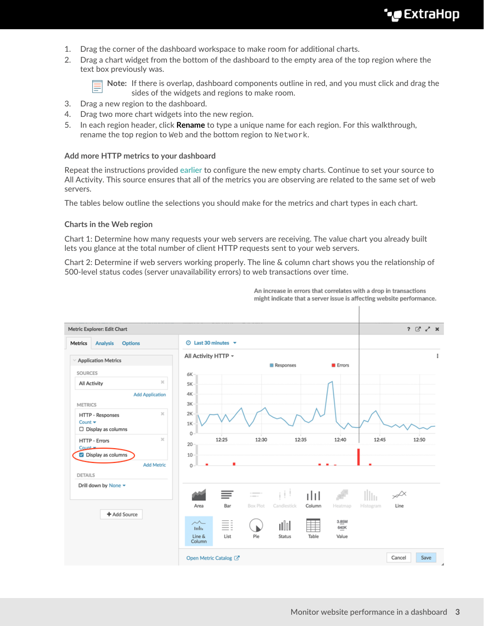- 1. Drag the corner of the dashboard workspace to make room for additional charts.
- 2. Drag a chart widget from the bottom of the dashboard to the empty area of the top region where the text box previously was.

**Note:** If there is overlap, dashboard components outline in red, and you must click and drag the sides of the widgets and regions to make room.

- 3. Drag a new region to the dashboard.
- 4. Drag two more chart widgets into the new region.
- 5. In each region header, click **Rename** to type a unique name for each region. For this walkthrough, rename the top region to Web and the bottom region to Network.

#### **Add more HTTP metrics to your dashboard**

Repeat the instructions provided [earlier](#page-0-0) to configure the new empty charts. Continue to set your source to All Activity. This source ensures that all of the metrics you are observing are related to the same set of web servers.

The tables below outline the selections you should make for the metrics and chart types in each chart.

#### **Charts in the Web region**

Chart 1: Determine how many requests your web servers are receiving. The value chart you already built lets you glance at the total number of client HTTP requests sent to your web servers.

Chart 2: Determine if web servers working properly. The line & column chart shows you the relationship of 500-level status codes (server unavailability errors) to web transactions over time.



An increase in errors that correlates with a drop in transactions might indicate that a server issue is affecting website performance.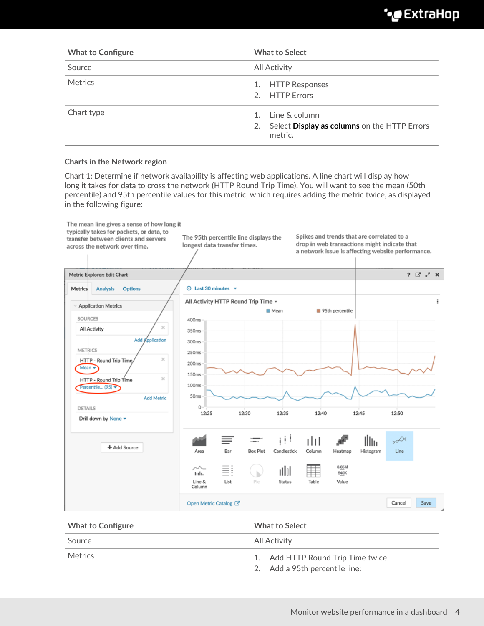# **∙.e** ExtraHop

| <b>What to Configure</b> | <b>What to Select</b>                                                          |
|--------------------------|--------------------------------------------------------------------------------|
| Source                   | <b>All Activity</b>                                                            |
| <b>Metrics</b>           | 1. HTTP Responses<br>2. HTTP Errors                                            |
| Chart type               | 1. Line & column<br>2. Select Display as columns on the HTTP Errors<br>metric. |

#### **Charts in the Network region**

Chart 1: Determine if network availability is affecting web applications. A line chart will display how long it takes for data to cross the network (HTTP Round Trip Time). You will want to see the mean (50th percentile) and 95th percentile values for this metric, which requires adding the metric twice, as displayed in the following figure:



| <b>What to Configure</b> | <b>What to Select</b>                                               |  |
|--------------------------|---------------------------------------------------------------------|--|
| Source                   | All Activity                                                        |  |
| Metrics                  | 1. Add HTTP Round Trip Time twice<br>2. Add a 95th percentile line: |  |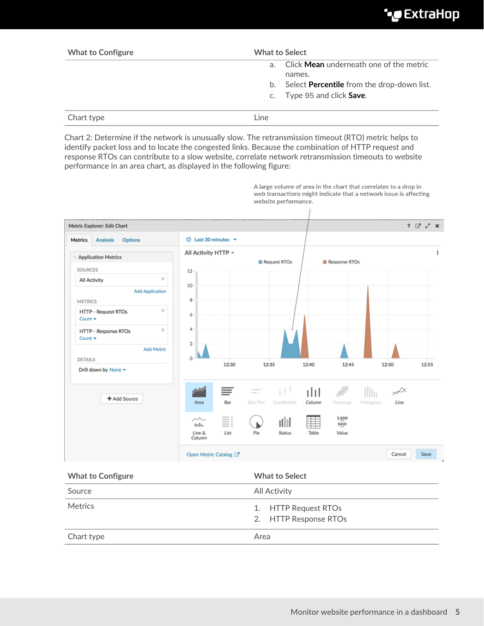| <b>What to Configure</b> | <b>What to Select</b>                                     |  |  |  |
|--------------------------|-----------------------------------------------------------|--|--|--|
|                          | Click <b>Mean</b> underneath one of the metric<br>$a_{-}$ |  |  |  |
|                          | names.                                                    |  |  |  |
|                          | b. Select <b>Percentile</b> from the drop-down list.      |  |  |  |
|                          | c. Type 95 and click <b>Save.</b>                         |  |  |  |
| Chart type               | Line                                                      |  |  |  |

Chart 2: Determine if the network is unusually slow. The retransmission timeout (RTO) metric helps to identify packet loss and to locate the congested links. Because the combination of HTTP request and response RTOs can contribute to a slow website, correlate network retransmission timeouts to website performance in an area chart, as displayed in the following figure:



A large volume of area in the chart that correlates to a drop in web transactions might indicate that a network issue is affecting website performance.

| <b>What to Configure</b> | <b>What to Select</b>                         |  |
|--------------------------|-----------------------------------------------|--|
| Source                   | <b>All Activity</b>                           |  |
| <b>Metrics</b>           | 1. HTTP Request RTOs<br>2. HTTP Response RTOs |  |
| Chart type               | Area                                          |  |